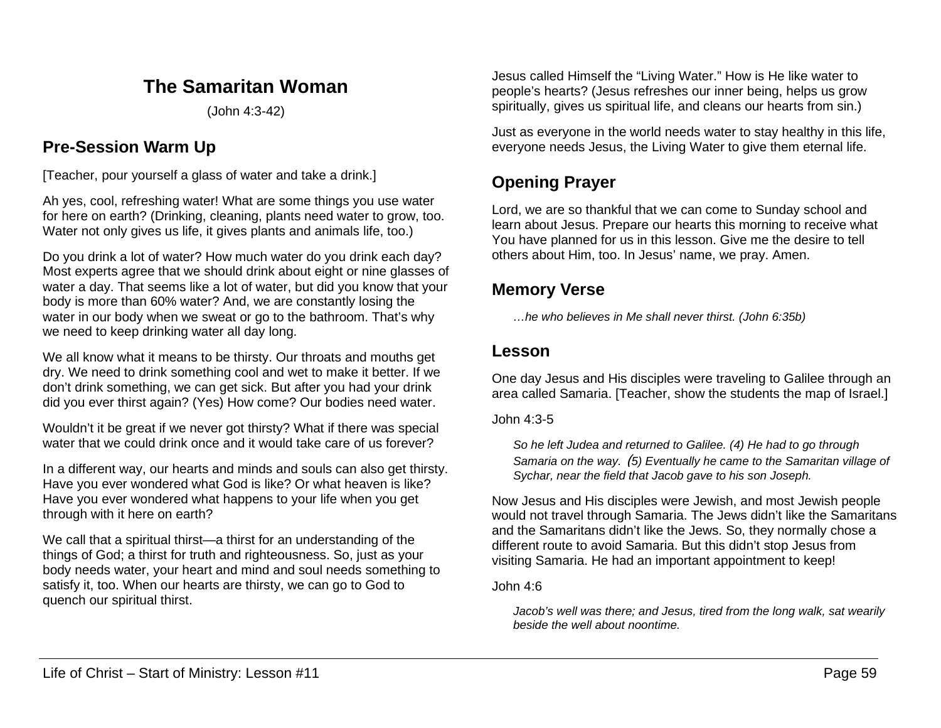## **The Samaritan Woman**

(John 4:3-42)

## **Pre-Session Warm Up**

[Teacher, pour yourself a glass of water and take a drink.]

Ah yes, cool, refreshing water! What are some things you use water for here on earth? (Drinking, cleaning, plants need water to grow, too. Water not only gives us life, it gives plants and animals life, too.)

Do you drink a lot of water? How much water do you drink each day? Most experts agree that we should drink about eight or nine glasses of water a day. That seems like a lot of water, but did you know that your body is more than 60% water? And, we are constantly losing the water in our body when we sweat or go to the bathroom. That's why we need to keep drinking water all day long.

We all know what it means to be thirsty. Our throats and mouths get dry. We need to drink something cool and wet to make it better. If we don't drink something, we can get sick. But after you had your drink did you ever thirst again? (Yes) How come? Our bodies need water.

Wouldn't it be great if we never got thirsty? What if there was special water that we could drink once and it would take care of us forever?

In a different way, our hearts and minds and souls can also get thirsty. Have you ever wondered what God is like? Or what heaven is like? Have you ever wondered what happens to your life when you get through with it here on earth?

We call that a spiritual thirst—a thirst for an understanding of the things of God; a thirst for truth and righteousness. So, just as your body needs water, your heart and mind and soul needs something to satisfy it, too. When our hearts are thirsty, we can go to God to quench our spiritual thirst.

Jesus called Himself the "Living Water." How is He like water to people's hearts? (Jesus refreshes our inner being, helps us grow spiritually, gives us spiritual life, and cleans our hearts from sin.)

Just as everyone in the world needs water to stay healthy in this life, everyone needs Jesus, the Living Water to give them eternal life.

# **Opening Prayer**

Lord, we are so thankful that we can come to Sunday school and learn about Jesus. Prepare our hearts this morning to receive what You have planned for us in this lesson. Give me the desire to tell others about Him, too. In Jesus' name, we pray. Amen.

## **Memory Verse**

*…he who believes in Me shall never thirst. (John 6:35b)*

## **Lesson**

One day Jesus and His disciples were traveling to Galilee through an area called Samaria. [Teacher, show the students the map of Israel.]

John 4:3-5

*So he left Judea and returned to Galilee. (4) He had to go through Samaria on the way.* (*5) Eventually he came to the Samaritan village of Sychar, near the field that Jacob gave to his son Joseph.*

Now Jesus and His disciples were Jewish, and most Jewish people would not travel through Samaria. The Jews didn't like the Samaritans and the Samaritans didn't like the Jews. So, they normally chose a different route to avoid Samaria. But this didn't stop Jesus from visiting Samaria. He had an important appointment to keep!

### John 4:6

*Jacob's well was there; and Jesus, tired from the long walk, sat wearily beside the well about noontime.*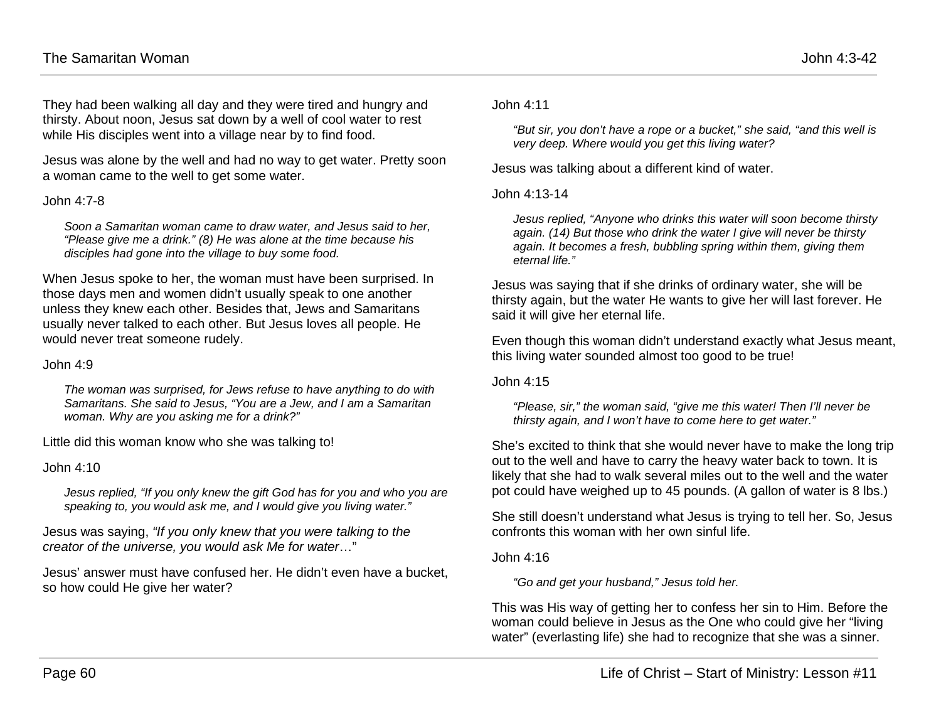They had been walking all day and they were tired and hungry and thirsty. About noon, Jesus sat down by a well of cool water to rest while His disciples went into a village near by to find food.

Jesus was alone by the well and had no way to get water. Pretty soon a woman came to the well to get some water.

#### $John 4.7-8$

*Soon a Samaritan woman came to draw water, and Jesus said to her, "Please give me a drink." (8) He was alone at the time because his disciples had gone into the village to buy some food.*

When Jesus spoke to her, the woman must have been surprised. In those days men and women didn't usually speak to one another unless they knew each other. Besides that, Jews and Samaritans usually never talked to each other. But Jesus loves all people. He would never treat someone rudely.

#### John 4:9

*The woman was surprised, for Jews refuse to have anything to do with Samaritans. She said to Jesus, "You are a Jew, and I am a Samaritan woman. Why are you asking me for a drink?"*

Little did this woman know who she was talking to!

#### John 4:10

*Jesus replied, "If you only knew the gift God has for you and who you are speaking to, you would ask me, and I would give you living water."*

Jesus was saying, *"If you only knew that you were talking to the creator of the universe, you would ask Me for water*…"

Jesus' answer must have confused her. He didn't even have a bucket, so how could He give her water?

John 4:11

*"But sir, you don't have a rope or a bucket," she said, "and this well is very deep. Where would you get this living water?*

Jesus was talking about a different kind of water.

John 4:13-14

*Jesus replied, "Anyone who drinks this water will soon become thirsty again. (14) But those who drink the water I give will never be thirsty again. It becomes a fresh, bubbling spring within them, giving them eternal life."*

Jesus was saying that if she drinks of ordinary water, she will be thirsty again, but the water He wants to give her will last forever. He said it will give her eternal life.

Even though this woman didn't understand exactly what Jesus meant, this living water sounded almost too good to be true!

John 4:15

*"Please, sir," the woman said, "give me this water! Then I'll never be thirsty again, and I won't have to come here to get water."*

She's excited to think that she would never have to make the long trip out to the well and have to carry the heavy water back to town. It is likely that she had to walk several miles out to the well and the water pot could have weighed up to 45 pounds. (A gallon of water is 8 lbs.)

She still doesn't understand what Jesus is trying to tell her. So, Jesus confronts this woman with her own sinful life.

John 4:16

*"Go and get your husband," Jesus told her.*

This was His way of getting her to confess her sin to Him. Before the woman could believe in Jesus as the One who could give her "living water" (everlasting life) she had to recognize that she was a sinner.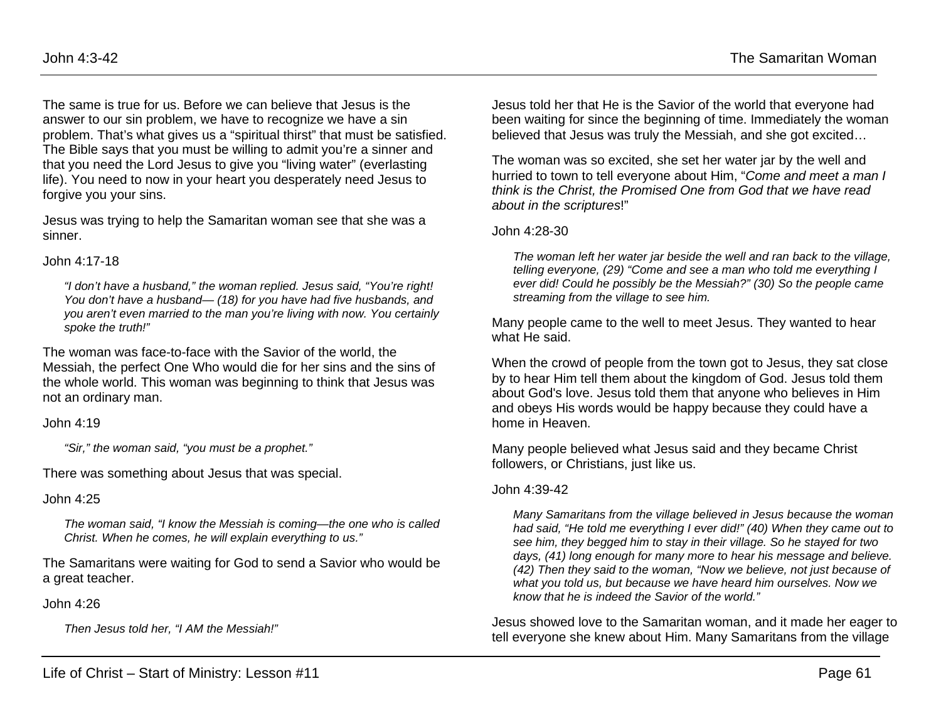The same is true for us. Before we can believe that Jesus is the answer to our sin problem, we have to recognize we have a sin problem. That's what gives us a "spiritual thirst" that must be satisfied. The Bible says that you must be willing to admit you're a sinner and that you need the Lord Jesus to give you "living water" (everlasting life). You need to now in your heart you desperately need Jesus to forgive you your sins.

Jesus was trying to help the Samaritan woman see that she was a sinner.

#### John 4:17-18

*"I don't have a husband," the woman replied. Jesus said, "You're right! You don't have a husband— (18) for you have had five husbands, and you aren't even married to the man you're living with now. You certainly spoke the truth!"*

The woman was face-to-face with the Savior of the world, the Messiah, the perfect One Who would die for her sins and the sins of the whole world. This woman was beginning to think that Jesus was not an ordinary man.

John 4:19

*"Sir," the woman said, "you must be a prophet."*

There was something about Jesus that was special.

### John 4:25

*The woman said, "I know the Messiah is coming—the one who is called Christ. When he comes, he will explain everything to us."*

The Samaritans were waiting for God to send a Savior who would be a great teacher.

John 4:26

*Then Jesus told her, "I AM the Messiah!"*

Jesus told her that He is the Savior of the world that everyone had been waiting for since the beginning of time. Immediately the woman believed that Jesus was truly the Messiah, and she got excited…

The woman was so excited, she set her water jar by the well and hurried to town to tell everyone about Him, "*Come and meet a man I think is the Christ, the Promised One from God that we have read about in the scriptures*!"

### John 4:28-30

*The woman left her water jar beside the well and ran back to the village, telling everyone, (29) "Come and see a man who told me everything I ever did! Could he possibly be the Messiah?" (30) So the people came streaming from the village to see him.*

Many people came to the well to meet Jesus. They wanted to hear what He said.

When the crowd of people from the town got to Jesus, they sat close by to hear Him tell them about the kingdom of God. Jesus told them about God's love. Jesus told them that anyone who believes in Him and obeys His words would be happy because they could have a home in Heaven.

Many people believed what Jesus said and they became Christ followers, or Christians, just like us.

### John 4:39-42

*Many Samaritans from the village believed in Jesus because the woman had said, "He told me everything I ever did!" (40) When they came out to see him, they begged him to stay in their village. So he stayed for two days, (41) long enough for many more to hear his message and believe. (42) Then they said to the woman, "Now we believe, not just because of what you told us, but because we have heard him ourselves. Now we know that he is indeed the Savior of the world."*

Jesus showed love to the Samaritan woman, and it made her eager to tell everyone she knew about Him. Many Samaritans from the village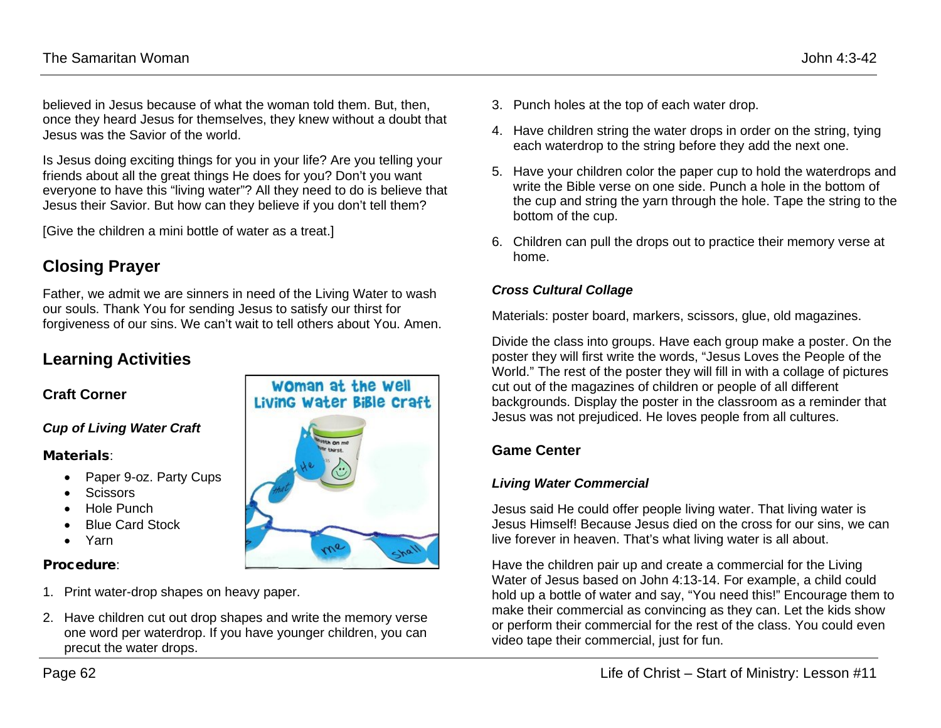believed in Jesus because of what the woman told them. But, then, once they heard Jesus for themselves, they knew without a doubt that Jesus was the Savior of the world.

Is Jesus doing exciting things for you in your life? Are you telling your friends about all the great things He does for you? Don't you want everyone to have this "living water"? All they need to do is believe that Jesus their Savior. But how can they believe if you don't tell them?

[Give the children a mini bottle of water as a treat.]

## **Closing Prayer**

Father, we admit we are sinners in need of the Living Water to wash our souls. Thank You for sending Jesus to satisfy our thirst for forgiveness of our sins. We can't wait to tell others about You. Amen.

## **Learning Activities**

### **Craft Corner**

### *Cup of Living Water Craft*

#### Materials:

- Paper 9-oz. Party Cups
- Scissors
- Hole Punch
- Blue Card Stock
- Yarn

### Procedure:

- 1. Print water-drop shapes on heavy paper.
- 2. Have children cut out drop shapes and write the memory verse one word per waterdrop. If you have younger children, you can precut the water drops.



- 3. Punch holes at the top of each water drop.
- 4. Have children string the water drops in order on the string, tying each waterdrop to the string before they add the next one.
- 5. Have your children color the paper cup to hold the waterdrops and write the Bible verse on one side. Punch a hole in the bottom of the cup and string the yarn through the hole. Tape the string to the bottom of the cup.
- 6. Children can pull the drops out to practice their memory verse at home.

### *Cross Cultural Collage*

Materials: poster board, markers, scissors, glue, old magazines.

Divide the class into groups. Have each group make a poster. On the poster they will first write the words, "Jesus Loves the People of the World." The rest of the poster they will fill in with a collage of pictures cut out of the magazines of children or people of all different backgrounds. Display the poster in the classroom as a reminder that Jesus was not prejudiced. He loves people from all cultures.

### **Game Center**

#### *Living Water Commercial*

Jesus said He could offer people living water. That living water is Jesus Himself! Because Jesus died on the cross for our sins, we can live forever in heaven. That's what living water is all about.

Have the children pair up and create a commercial for the Living Water of Jesus based on John 4:13-14. For example, a child could hold up a bottle of water and say, "You need this!" Encourage them to make their commercial as convincing as they can. Let the kids show or perform their commercial for the rest of the class. You could even video tape their commercial, just for fun.